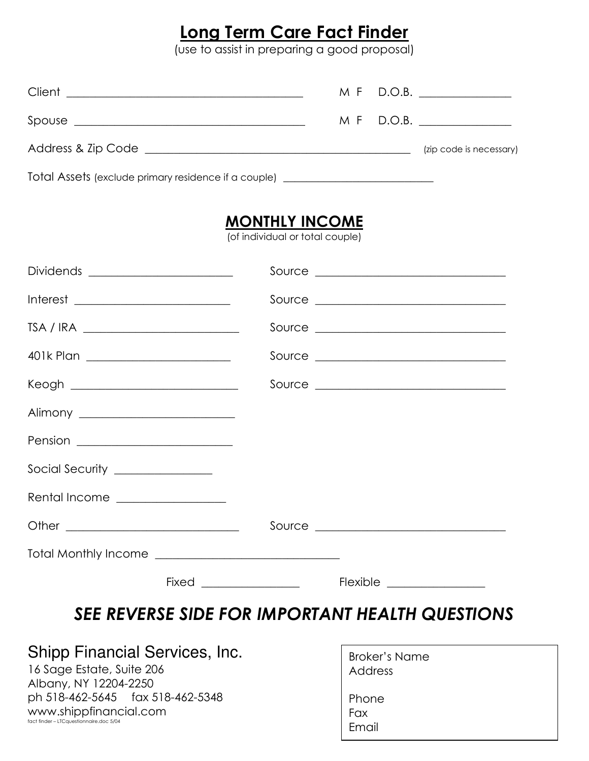## Long Term Care Fact Finder

(use to assist in preparing a good proposal)

|                                                                                  |  | M F D.O.B.              |
|----------------------------------------------------------------------------------|--|-------------------------|
|                                                                                  |  | $M \t{F}$ D.O.B.        |
|                                                                                  |  | (zip code is necessary) |
| Total Assets (exclude primary residence if a couple) ___________________________ |  |                         |

#### MONTHLY INCOME

(of individual or total couple)

| Dividends ________________________                                                                                                                                                                                                                                                                                                                                                          |                                            |
|---------------------------------------------------------------------------------------------------------------------------------------------------------------------------------------------------------------------------------------------------------------------------------------------------------------------------------------------------------------------------------------------|--------------------------------------------|
| $\begin{picture}(20,10) \put(0,0){\dashbox{0.5}(10,0){ }} \put(15,0){\circle{10}} \put(15,0){\circle{10}} \put(15,0){\circle{10}} \put(15,0){\circle{10}} \put(15,0){\circle{10}} \put(15,0){\circle{10}} \put(15,0){\circle{10}} \put(15,0){\circle{10}} \put(15,0){\circle{10}} \put(15,0){\circle{10}} \put(15,0){\circle{10}} \put(15,0){\circle{10}} \put(15,0){\circle{10}} \put(15,$ |                                            |
| TSA / IRA ______________________________                                                                                                                                                                                                                                                                                                                                                    |                                            |
| 401k Plan _________________________                                                                                                                                                                                                                                                                                                                                                         |                                            |
| Keogh ____________________________                                                                                                                                                                                                                                                                                                                                                          | Source ______________________________      |
| Alimony ___________________________                                                                                                                                                                                                                                                                                                                                                         |                                            |
|                                                                                                                                                                                                                                                                                                                                                                                             |                                            |
| Social Security _______________                                                                                                                                                                                                                                                                                                                                                             |                                            |
| Rental Income _________________                                                                                                                                                                                                                                                                                                                                                             |                                            |
|                                                                                                                                                                                                                                                                                                                                                                                             |                                            |
|                                                                                                                                                                                                                                                                                                                                                                                             |                                            |
|                                                                                                                                                                                                                                                                                                                                                                                             | $Fixed \_\_$<br>Flexible _________________ |

### SEE REVERSE SIDE FOR IMPORTANT HEALTH QUESTIONS

#### Shipp Financial Services, Inc.

16 Sage Estate, Suite 206 Albany, NY 12204-2250 ph 518-462-5645 fax 518-462-5348 www.shippfinancial.com fact finder – LTCquestionnaire.doc 5/04

| <b>Broker's Name</b><br>Address |  |
|---------------------------------|--|
| Phone                           |  |
| Fax                             |  |
| Email                           |  |